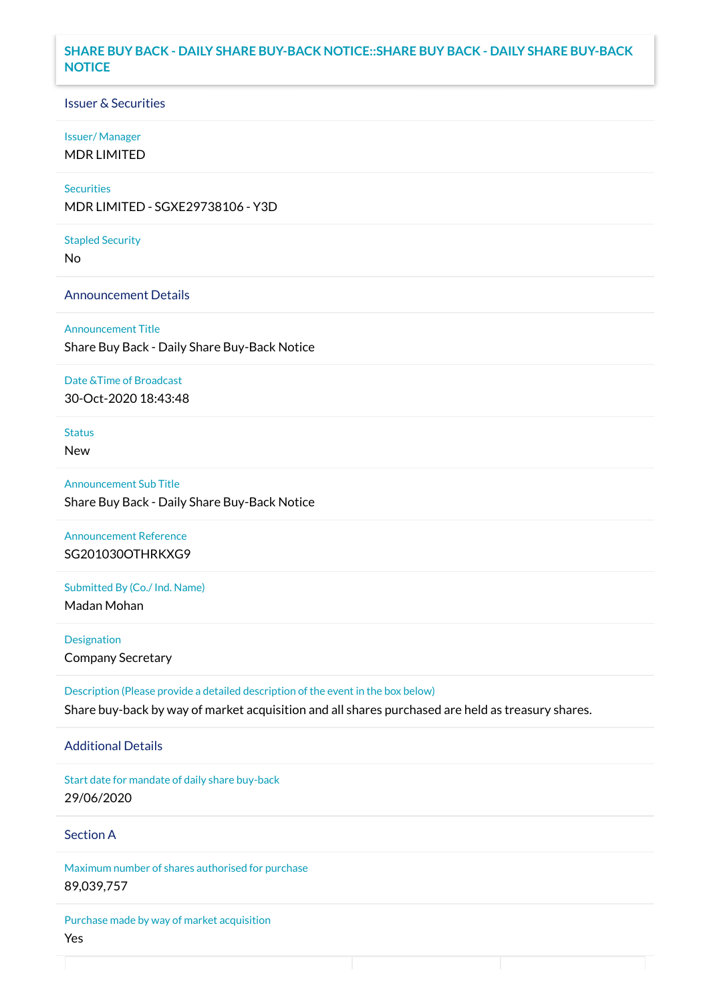### **SHARE BUY BACK - DAILY SHARE BUY-BACK NOTICE::SHARE BUY BACK - DAILY SHARE BUY-BACK NOTICE**

### Issuer & Securities

#### Issuer/ Manager

MDR LIMITED

### **Securities**

MDR LIMITED - SGXE29738106 - Y3D

#### Stapled Security

No

### Announcement Details

Announcement Title Share Buy Back - Daily Share Buy-Back Notice

#### Date &Time of Broadcast

30-Oct-2020 18:43:48

# Status

New

# Announcement Sub Title Share Buy Back - Daily Share Buy-Back Notice

Announcement Reference SG201030OTHRKXG9

# Submitted By (Co./ Ind. Name)

Madan Mohan

**Designation** Company Secretary

Description (Please provide a detailed description of the event in the box below) Share buy-back by way of market acquisition and all shares purchased are held as treasury shares.

#### Additional Details

Start date for mandate of daily share buy-back 29/06/2020

### Section A

Maximum number of shares authorised for purchase 89,039,757

Purchase made by way of market acquisition Yes